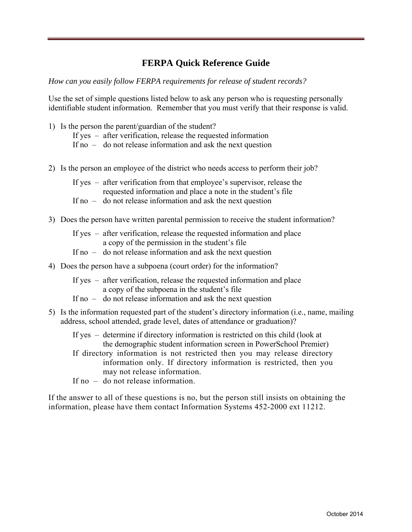# **FERPA Quick Reference Guide**

*How can you easily follow FERPA requirements for release of student records?* 

Use the set of simple questions listed below to ask any person who is requesting personally identifiable student information. Remember that you must verify that their response is valid.

- 1) Is the person the parent/guardian of the student? If yes – after verification, release the requested information If no – do not release information and ask the next question
- 2) Is the person an employee of the district who needs access to perform their job?
	- If yes after verification from that employee's supervisor, release the requested information and place a note in the student's file
	- If no do not release information and ask the next question
- 3) Does the person have written parental permission to receive the student information?
	- If yes after verification, release the requested information and place a copy of the permission in the student's file
	- If no do not release information and ask the next question
- 4) Does the person have a subpoena (court order) for the information?
	- If yes after verification, release the requested information and place a copy of the subpoena in the student's file
	- If no do not release information and ask the next question
- 5) Is the information requested part of the student's directory information (i.e., name, mailing address, school attended, grade level, dates of attendance or graduation)?
	- If yes determine if directory information is restricted on this child (look at the demographic student information screen in PowerSchool Premier)
	- If directory information is not restricted then you may release directory information only. If directory information is restricted, then you may not release information.
	- If no do not release information.

If the answer to all of these questions is no, but the person still insists on obtaining the information, please have them contact Information Systems 452-2000 ext 11212.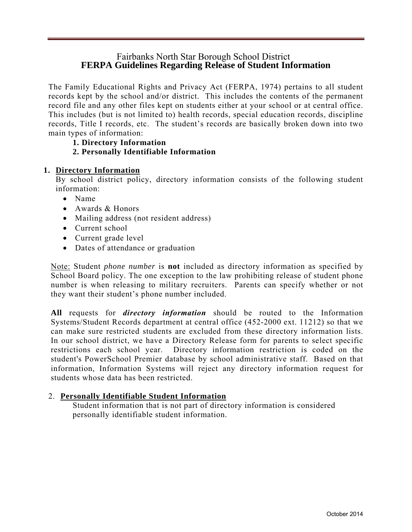# Fairbanks North Star Borough School District **FERPA Guidelines Regarding Release of Student Information**

The Family Educational Rights and Privacy Act (FERPA, 1974) pertains to all student records kept by the school and/or district. This includes the contents of the permanent record file and any other files kept on students either at your school or at central office. This includes (but is not limited to) health records, special education records, discipline records, Title I records, etc. The student's records are basically broken down into two main types of information:

**1. Directory Information** 

## **2. Personally Identifiable Information**

## **1. Directory Information**

By school district policy, directory information consists of the following student information:

- Name
- Awards & Honors
- Mailing address (not resident address)
- Current school
- Current grade level
- Dates of attendance or graduation

Note: Student *phone number* is **not** included as directory information as specified by School Board policy. The one exception to the law prohibiting release of student phone number is when releasing to military recruiters. Parents can specify whether or not they want their student's phone number included.

**All** requests for *directory information* should be routed to the Information Systems/Student Records department at central office (452-2000 ext. 11212) so that we can make sure restricted students are excluded from these directory information lists. In our school district, we have a Directory Release form for parents to select specific restrictions each school year. Directory information restriction is coded on the student's PowerSchool Premier database by school administrative staff. Based on that information, Information Systems will reject any directory information request for students whose data has been restricted.

## 2. **Personally Identifiable Student Information**

Student information that is not part of directory information is considered personally identifiable student information.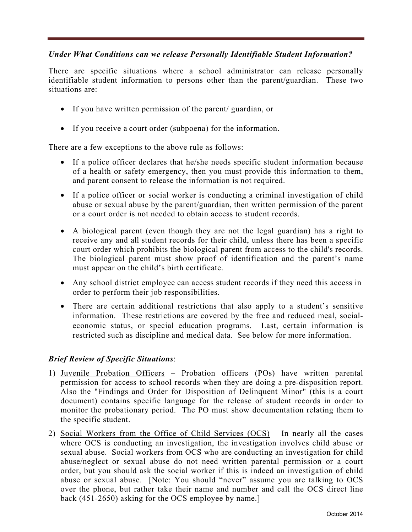## *Under What Conditions can we release Personally Identifiable Student Information?*

There are specific situations where a school administrator can release personally identifiable student information to persons other than the parent/guardian. These two situations are:

- If you have written permission of the parent/ guardian, or
- If you receive a court order (subpoena) for the information.

There are a few exceptions to the above rule as follows:

- If a police officer declares that he/she needs specific student information because of a health or safety emergency, then you must provide this information to them, and parent consent to release the information is not required.
- If a police officer or social worker is conducting a criminal investigation of child abuse or sexual abuse by the parent/guardian, then written permission of the parent or a court order is not needed to obtain access to student records.
- A biological parent (even though they are not the legal guardian) has a right to receive any and all student records for their child, unless there has been a specific court order which prohibits the biological parent from access to the child's records. The biological parent must show proof of identification and the parent's name must appear on the child's birth certificate.
- Any school district employee can access student records if they need this access in order to perform their job responsibilities.
- There are certain additional restrictions that also apply to a student's sensitive information. These restrictions are covered by the free and reduced meal, socialeconomic status, or special education programs. Last, certain information is restricted such as discipline and medical data. See below for more information.

## *Brief Review of Specific Situations*:

- 1) Juvenile Probation Officers Probation officers (POs) have written parental permission for access to school records when they are doing a pre-disposition report. Also the "Findings and Order for Disposition of Delinquent Minor" (this is a court document) contains specific language for the release of student records in order to monitor the probationary period. The PO must show documentation relating them to the specific student.
- 2) Social Workers from the Office of Child Services (OCS) In nearly all the cases where OCS is conducting an investigation, the investigation involves child abuse or sexual abuse. Social workers from OCS who are conducting an investigation for child abuse/neglect or sexual abuse do not need written parental permission or a court order, but you should ask the social worker if this is indeed an investigation of child abuse or sexual abuse. [Note: You should "never" assume you are talking to OCS over the phone, but rather take their name and number and call the OCS direct line back (451-2650) asking for the OCS employee by name.]